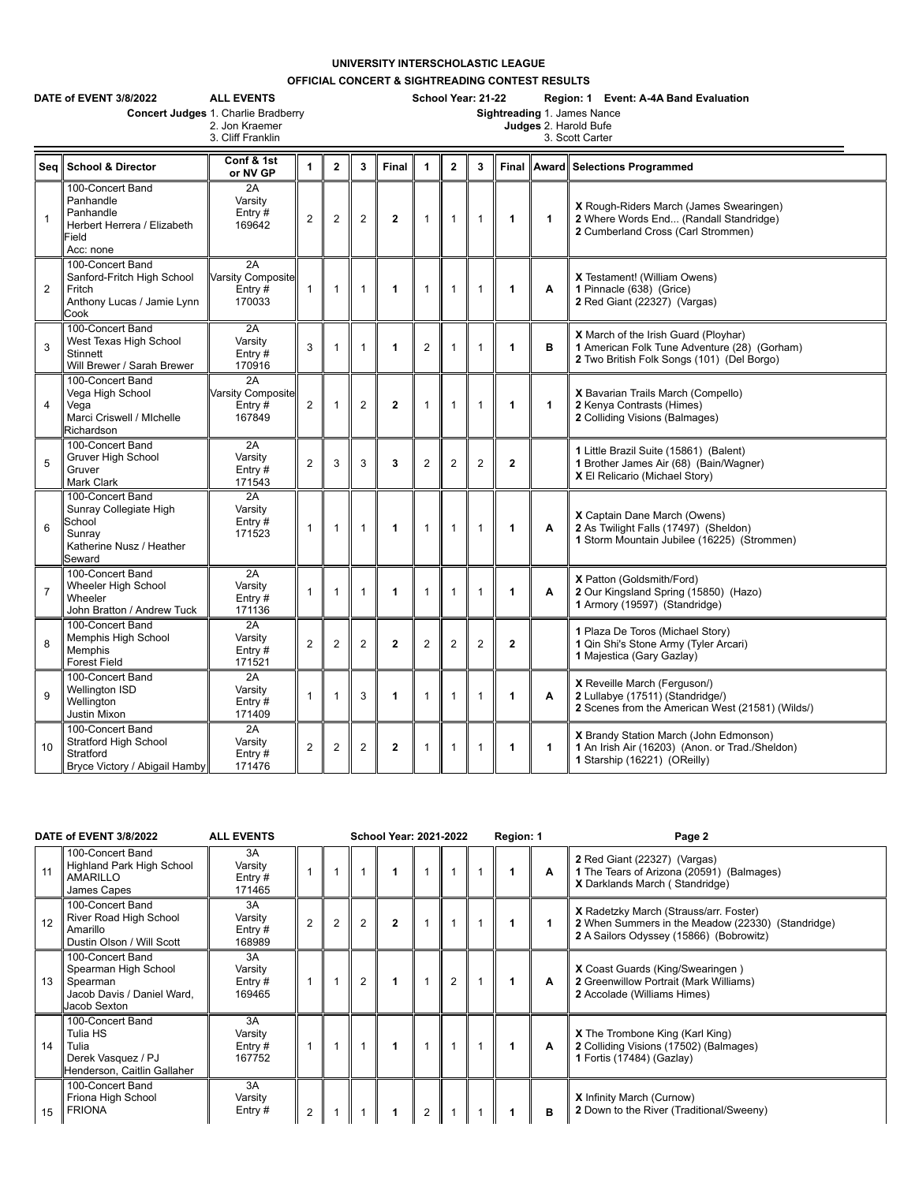## **UNIVERSITY INTERSCHOLASTIC LEAGUE**

**OFFICIAL CONCERT & SIGHTREADING CONTEST RESULTS**

|                | DATE of EVENT 3/8/2022<br><b>ALL EVENTS</b><br>School Year: 21-22<br>Region: 1 Event: A-4A Band Evaluation<br>Concert Judges 1. Charlie Bradberry<br>Sightreading 1. James Nance<br>2. Jon Kraemer<br>Judges 2. Harold Bufe<br>3. Cliff Franklin<br>3. Scott Carter |                                                    |                |                |                |                         |                |                |                          |                      |        |                                                                                                                                    |  |
|----------------|---------------------------------------------------------------------------------------------------------------------------------------------------------------------------------------------------------------------------------------------------------------------|----------------------------------------------------|----------------|----------------|----------------|-------------------------|----------------|----------------|--------------------------|----------------------|--------|------------------------------------------------------------------------------------------------------------------------------------|--|
| Seq            | <b>School &amp; Director</b>                                                                                                                                                                                                                                        | Conf & 1st<br>or NV GP                             | 1              | $\overline{2}$ | 3              | Final                   | $\mathbf{1}$   | $\overline{2}$ | 3                        | Final                | Awardl | <b>Selections Programmed</b>                                                                                                       |  |
| $\mathbf{1}$   | 100-Concert Band<br>Panhandle<br>Panhandle<br>Herbert Herrera / Elizabeth<br>Field<br>Acc: none                                                                                                                                                                     | 2A<br>Varsity<br>Entry $#$<br>169642               | $\overline{2}$ | $\overline{2}$ | $\overline{2}$ | $\mathbf{2}$            | 1              | $\mathbf{1}$   | $\mathbf{1}$             | 1                    | 1      | X Rough-Riders March (James Swearingen)<br>2 Where Words End (Randall Standridge)<br>2 Cumberland Cross (Carl Strommen)            |  |
| $\overline{2}$ | 100-Concert Band<br>Sanford-Fritch High School<br>Fritch<br>Anthony Lucas / Jamie Lynn<br>Cook                                                                                                                                                                      | 2A<br><b>Varsity Composite</b><br>Entry#<br>170033 | $\mathbf{1}$   | $\mathbf{1}$   | $\mathbf{1}$   | 1                       | $\mathbf{1}$   | $\mathbf{1}$   | $\overline{1}$           | $\mathbf{1}$         | A      | X Testament! (William Owens)<br>1 Pinnacle (638) (Grice)<br>2 Red Giant (22327) (Vargas)                                           |  |
| 3              | 100-Concert Band<br>West Texas High School<br><b>Stinnett</b><br>Will Brewer / Sarah Brewer                                                                                                                                                                         | 2A<br>Varsity<br>Entry $#$<br>170916               | 3              | $\mathbf{1}$   | 1              | 1                       | $\overline{2}$ | 1              | $\mathbf{1}$             | 1                    | в      | X March of the Irish Guard (Ployhar)<br>1 American Folk Tune Adventure (28) (Gorham)<br>2 Two British Folk Songs (101) (Del Borgo) |  |
| $\overline{4}$ | 100-Concert Band<br>Vega High School<br>Vega<br>Marci Criswell / Michelle<br>Richardson                                                                                                                                                                             | 2A<br>Varsity Composite<br>Entry#<br>167849        | $\overline{2}$ | $\mathbf{1}$   | $\overline{2}$ | $\mathbf{2}$            | 1              | $\mathbf{1}$   | $\overline{1}$           | $\blacktriangleleft$ | 1      | X Bavarian Trails March (Compello)<br>2 Kenya Contrasts (Himes)<br>2 Colliding Visions (Balmages)                                  |  |
| 5              | 100-Concert Band<br>Gruver High School<br>Gruver<br>Mark Clark                                                                                                                                                                                                      | 2A<br>Varsity<br>Entry $#$<br>171543               | $\overline{2}$ | 3              | 3              | 3                       | $\overline{2}$ | 2              | $\overline{2}$           | $\mathbf{2}$         |        | 1 Little Brazil Suite (15861) (Balent)<br>1 Brother James Air (68) (Bain/Wagner)<br>X El Relicario (Michael Story)                 |  |
| 6              | 100-Concert Band<br>Sunray Collegiate High<br>School<br>Sunrav<br>Katherine Nusz / Heather<br>Seward                                                                                                                                                                | 2A<br>Varsity<br>Entry#<br>171523                  | $\mathbf{1}$   | $\mathbf{1}$   | $\mathbf{1}$   | 1                       | $\mathbf{1}$   | $\mathbf{1}$   | $\mathbf{1}$             | 1                    | A      | X Captain Dane March (Owens)<br>2 As Twilight Falls (17497) (Sheldon)<br>1 Storm Mountain Jubilee (16225) (Strommen)               |  |
| $\overline{7}$ | 100-Concert Band<br>Wheeler High School<br>Wheeler<br>John Bratton / Andrew Tuck                                                                                                                                                                                    | 2A<br>Varsity<br>Entry $#$<br>171136               | $\mathbf{1}$   | $\mathbf{1}$   | 1              | 1                       | 1              | 1              | $\overline{1}$           | 1                    | A      | X Patton (Goldsmith/Ford)<br>2 Our Kingsland Spring (15850) (Hazo)<br>1 Armory (19597) (Standridge)                                |  |
| 8              | 100-Concert Band<br>Memphis High School<br><b>Memphis</b><br><b>Forest Field</b>                                                                                                                                                                                    | 2A<br>Varsity<br>Entry $#$<br>171521               | $\overline{2}$ | $\overline{2}$ | $\overline{2}$ | $\overline{2}$          | $\overline{2}$ | 2              | $\overline{2}$           | $\mathbf{2}$         |        | 1 Plaza De Toros (Michael Story)<br>1 Qin Shi's Stone Army (Tyler Arcari)<br>1 Majestica (Gary Gazlay)                             |  |
| 9              | 100-Concert Band<br><b>Wellington ISD</b><br>Wellington<br>Justin Mixon                                                                                                                                                                                             | 2A<br>Varsity<br>Entry#<br>171409                  | $\mathbf{1}$   | 1              | 3              | 1                       | 1              | 1              | $\mathbf{1}$             | 1                    | Α      | X Reveille March (Ferguson/)<br>2 Lullabye (17511) (Standridge/)<br>2 Scenes from the American West (21581) (Wilds/)               |  |
| 10             | 100-Concert Band<br><b>Stratford High School</b><br>Stratford<br>Bryce Victory / Abigail Hamby                                                                                                                                                                      | 2A<br>Varsity<br>Entry #<br>171476                 | $\overline{2}$ | 2              | 2              | $\overline{\mathbf{2}}$ | 1              |                | $\overline{\phantom{a}}$ | 1                    | 1      | X Brandy Station March (John Edmonson)<br>1 An Irish Air (16203) (Anon. or Trad./Sheldon)<br>1 Starship (16221) (OReilly)          |  |

| DATE of EVENT 3/8/2022 |                                                                                                    | <b>ALL EVENTS</b>                  |                | <b>School Year: 2021-2022</b> |  |                |   |  | Region: 1 |  | Page 2 |                                                                                                                                        |
|------------------------|----------------------------------------------------------------------------------------------------|------------------------------------|----------------|-------------------------------|--|----------------|---|--|-----------|--|--------|----------------------------------------------------------------------------------------------------------------------------------------|
| 11                     | 100-Concert Band<br>Highland Park High School<br><b>AMARILLO</b><br>James Capes                    | 3A<br>Varsity<br>Entry#<br>171465  |                |                               |  |                |   |  |           |  | Α      | 2 Red Giant (22327) (Vargas)<br>1 The Tears of Arizona (20591) (Balmages)<br>X Darklands March (Standridge)                            |
| 12                     | 100-Concert Band<br>River Road High School<br>Amarillo<br>Dustin Olson / Will Scott                | 3A<br>Varsity<br>Entry #<br>168989 | $\overline{2}$ | $\overline{2}$                |  | $\overline{2}$ |   |  |           |  |        | X Radetzky March (Strauss/arr. Foster)<br>2 When Summers in the Meadow (22330) (Standridge)<br>2 A Sailors Odyssey (15866) (Bobrowitz) |
| 13                     | 100-Concert Band<br>Spearman High School<br>Spearman<br>Jacob Davis / Daniel Ward,<br>Jacob Sexton | 3A<br>Varsity<br>Entry#<br>169465  |                |                               |  |                |   |  |           |  | Α      | X Coast Guards (King/Swearingen)<br>2 Greenwillow Portrait (Mark Williams)<br>2 Accolade (Williams Himes)                              |
| 14                     | 100-Concert Band<br>Tulia HS<br>Tulia<br>Derek Vasquez / PJ<br>Henderson, Caitlin Gallaher         | 3A<br>Varsity<br>Entry#<br>167752  |                |                               |  |                |   |  |           |  | Α      | <b>X</b> The Trombone King (Karl King)<br>2 Colliding Visions (17502) (Balmages)<br>1 Fortis (17484) (Gazlay)                          |
| 15                     | 100-Concert Band<br>Friona High School<br><b>FRIONA</b>                                            | 3A<br>Varsity<br>Entry#            | $\overline{2}$ |                               |  |                | 2 |  |           |  | в      | <b>X</b> Infinity March (Curnow)<br>2 Down to the River (Traditional/Sweeny)                                                           |